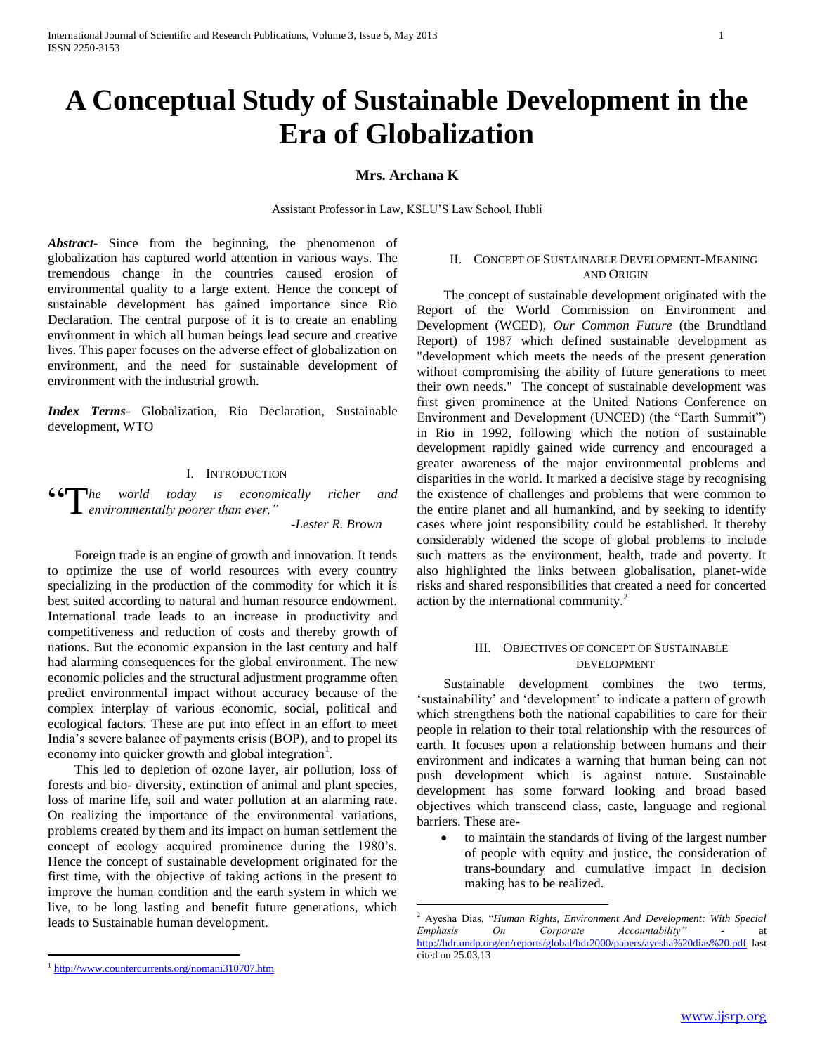# **A Conceptual Study of Sustainable Development in the Era of Globalization**

## **Mrs. Archana K**

Assistant Professor in Law, KSLU'S Law School, Hubli

 $\overline{a}$ 

*Abstract***-** Since from the beginning, the phenomenon of globalization has captured world attention in various ways. The tremendous change in the countries caused erosion of environmental quality to a large extent. Hence the concept of sustainable development has gained importance since Rio Declaration. The central purpose of it is to create an enabling environment in which all human beings lead secure and creative lives. This paper focuses on the adverse effect of globalization on environment, and the need for sustainable development of environment with the industrial growth.

*Index Terms*- Globalization, Rio Declaration, Sustainable development, WTO

## I. INTRODUCTION

*he world today is economically richer and e***<sup>***e***</sup>** *environmentally poorer than ever,* "*environmentally poorer than ever,*"

 *-Lester R. Brown*

 Foreign trade is an engine of growth and innovation. It tends to optimize the use of world resources with every country specializing in the production of the commodity for which it is best suited according to natural and human resource endowment. International trade leads to an increase in productivity and competitiveness and reduction of costs and thereby growth of nations. But the economic expansion in the last century and half had alarming consequences for the global environment. The new economic policies and the structural adjustment programme often predict environmental impact without accuracy because of the complex interplay of various economic, social, political and ecological factors. These are put into effect in an effort to meet India's severe balance of payments crisis (BOP), and to propel its economy into quicker growth and global integration<sup>1</sup>.

 This led to depletion of ozone layer, air pollution, loss of forests and bio- diversity, extinction of animal and plant species, loss of marine life, soil and water pollution at an alarming rate. On realizing the importance of the environmental variations, problems created by them and its impact on human settlement the concept of ecology acquired prominence during the 1980's. Hence the concept of sustainable development originated for the first time, with the objective of taking actions in the present to improve the human condition and the earth system in which we live, to be long lasting and benefit future generations, which leads to Sustainable human development.

 The concept of sustainable development originated with the Report of the World Commission on Environment and Development (WCED), *Our Common Future* (the Brundtland Report) of 1987 which defined sustainable development as "development which meets the needs of the present generation without compromising the ability of future generations to meet their own needs." The concept of sustainable development was first given prominence at the United Nations Conference on Environment and Development (UNCED) (the "Earth Summit") in Rio in 1992, following which the notion of sustainable development rapidly gained wide currency and encouraged a greater awareness of the major environmental problems and disparities in the world. It marked a decisive stage by recognising the existence of challenges and problems that were common to the entire planet and all humankind, and by seeking to identify cases where joint responsibility could be established. It thereby considerably widened the scope of global problems to include such matters as the environment, health, trade and poverty. It also highlighted the links between globalisation, planet-wide risks and shared responsibilities that created a need for concerted action by the international community.<sup>2</sup>

## III. OBJECTIVES OF CONCEPT OF SUSTAINABLE DEVELOPMENT

 Sustainable development combines the two terms, 'sustainability' and 'development' to indicate a pattern of growth which strengthens both the national capabilities to care for their people in relation to their total relationship with the resources of earth. It focuses upon a relationship between humans and their environment and indicates a warning that human being can not push development which is against nature. Sustainable development has some forward looking and broad based objectives which transcend class, caste, language and regional barriers. These are-

 to maintain the standards of living of the largest number of people with equity and justice, the consideration of trans-boundary and cumulative impact in decision making has to be realized.

 $\overline{a}$ 

II. CONCEPT OF SUSTAINABLE DEVELOPMENT-MEANING AND ORIGIN

<sup>2</sup> Ayesha Dias, "*Human Rights, Environment And Development: With Special Emphasis On Corporate Accountability"* - at <http://hdr.undp.org/en/reports/global/hdr2000/papers/ayesha%20dias%20.pdf> last cited on 25.03.13

<sup>&</sup>lt;sup>1</sup> <http://www.countercurrents.org/nomani310707.htm>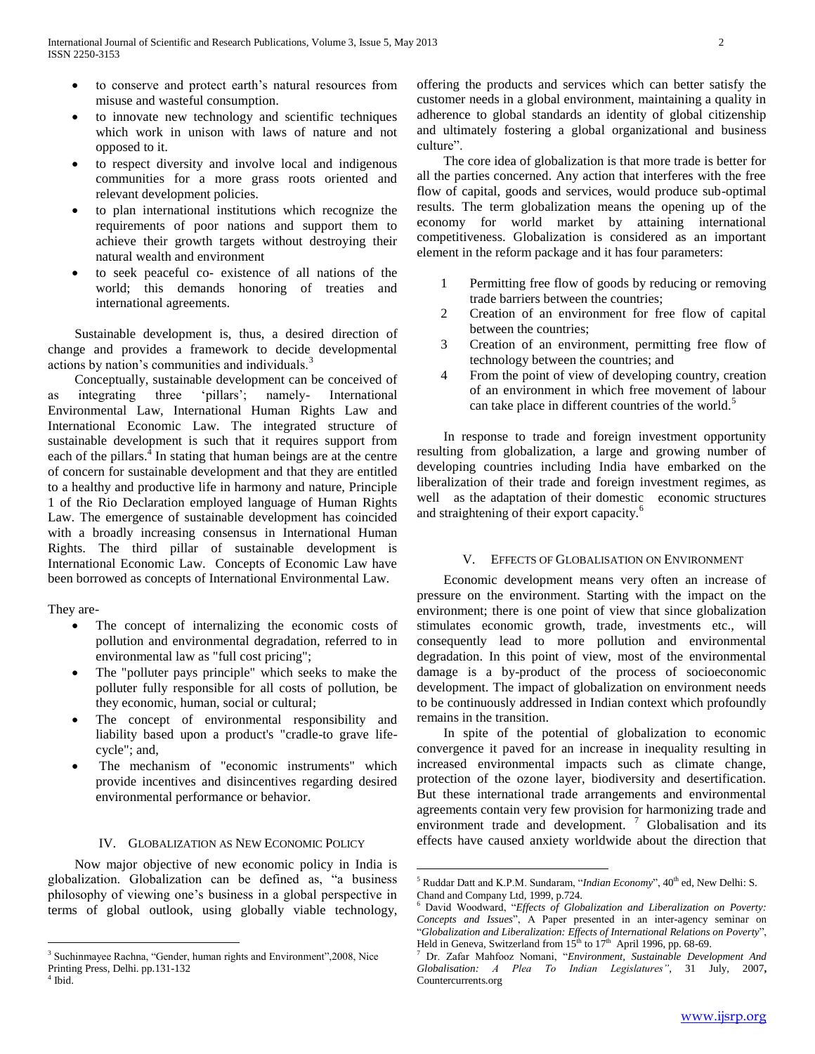- to conserve and protect earth's natural resources from misuse and wasteful consumption.
- to innovate new technology and scientific techniques which work in unison with laws of nature and not opposed to it.
- to respect diversity and involve local and indigenous communities for a more grass roots oriented and relevant development policies.
- to plan international institutions which recognize the requirements of poor nations and support them to achieve their growth targets without destroying their natural wealth and environment
- to seek peaceful co- existence of all nations of the world; this demands honoring of treaties and international agreements.

 Sustainable development is, thus, a desired direction of change and provides a framework to decide developmental actions by nation's communities and individuals.<sup>3</sup>

 Conceptually, sustainable development can be conceived of as integrating three 'pillars'; namely- International Environmental Law, International Human Rights Law and International Economic Law. The integrated structure of sustainable development is such that it requires support from each of the pillars.<sup>4</sup> In stating that human beings are at the centre of concern for sustainable development and that they are entitled to a healthy and productive life in harmony and nature, Principle 1 of the Rio Declaration employed language of Human Rights Law. The emergence of sustainable development has coincided with a broadly increasing consensus in International Human Rights. The third pillar of sustainable development is International Economic Law. Concepts of Economic Law have been borrowed as concepts of International Environmental Law.

They are-

 $\overline{a}$ 

- The concept of internalizing the economic costs of pollution and environmental degradation, referred to in environmental law as "full cost pricing";
- The "polluter pays principle" which seeks to make the polluter fully responsible for all costs of pollution, be they economic, human, social or cultural;
- The concept of environmental responsibility and liability based upon a product's "cradle-to grave lifecycle"; and,
- The mechanism of "economic instruments" which provide incentives and disincentives regarding desired environmental performance or behavior.

## IV. GLOBALIZATION AS NEW ECONOMIC POLICY

 Now major objective of new economic policy in India is globalization. Globalization can be defined as, "a business philosophy of viewing one's business in a global perspective in terms of global outlook, using globally viable technology, offering the products and services which can better satisfy the customer needs in a global environment, maintaining a quality in adherence to global standards an identity of global citizenship and ultimately fostering a global organizational and business culture".

 The core idea of globalization is that more trade is better for all the parties concerned. Any action that interferes with the free flow of capital, goods and services, would produce sub-optimal results. The term globalization means the opening up of the economy for world market by attaining international competitiveness. Globalization is considered as an important element in the reform package and it has four parameters:

- 1 Permitting free flow of goods by reducing or removing trade barriers between the countries;
- 2 Creation of an environment for free flow of capital between the countries;
- 3 Creation of an environment, permitting free flow of technology between the countries; and
- 4 From the point of view of developing country, creation of an environment in which free movement of labour can take place in different countries of the world.<sup>5</sup>

 In response to trade and foreign investment opportunity resulting from globalization, a large and growing number of developing countries including India have embarked on the liberalization of their trade and foreign investment regimes, as well as the adaptation of their domestic economic structures and straightening of their export capacity.<sup>6</sup>

#### V. EFFECTS OF GLOBALISATION ON ENVIRONMENT

 Economic development means very often an increase of pressure on the environment. Starting with the impact on the environment; there is one point of view that since globalization stimulates economic growth, trade, investments etc., will consequently lead to more pollution and environmental degradation. In this point of view, most of the environmental damage is a by-product of the process of socioeconomic development. The impact of globalization on environment needs to be continuously addressed in Indian context which profoundly remains in the transition.

 In spite of the potential of globalization to economic convergence it paved for an increase in inequality resulting in increased environmental impacts such as climate change, protection of the ozone layer, biodiversity and desertification. But these international trade arrangements and environmental agreements contain very few provision for harmonizing trade and environment trade and development.<sup>7</sup> Globalisation and its effects have caused anxiety worldwide about the direction that

<sup>&</sup>lt;sup>3</sup> Suchinmayee Rachna, "Gender, human rights and Environment", 2008, Nice Printing Press, Delhi. pp.131-132 4 Ibid.

 $\overline{a}$ <sup>5</sup> Ruddar Datt and K.P.M. Sundaram, "*Indian Economy*", 40<sup>th</sup> ed, New Delhi: S. Chand and Company Ltd, 1999, p.724.

<sup>6</sup> David Woodward, "*Effects of Globalization and Liberalization on Poverty: Concepts and Issues*", A Paper presented in an inter-agency seminar on "*Globalization and Liberalization: Effects of International Relations on Poverty*", Held in Geneva, Switzerland from  $15<sup>th</sup>$  to  $17<sup>th</sup>$  April 1996, pp. 68-69.

<sup>7</sup> Dr. Zafar Mahfooz Nomani, "*Environment, Sustainable Development And Globalisation: A Plea To Indian Legislatures"*, 31 July, 2007**,** Countercurrents.org